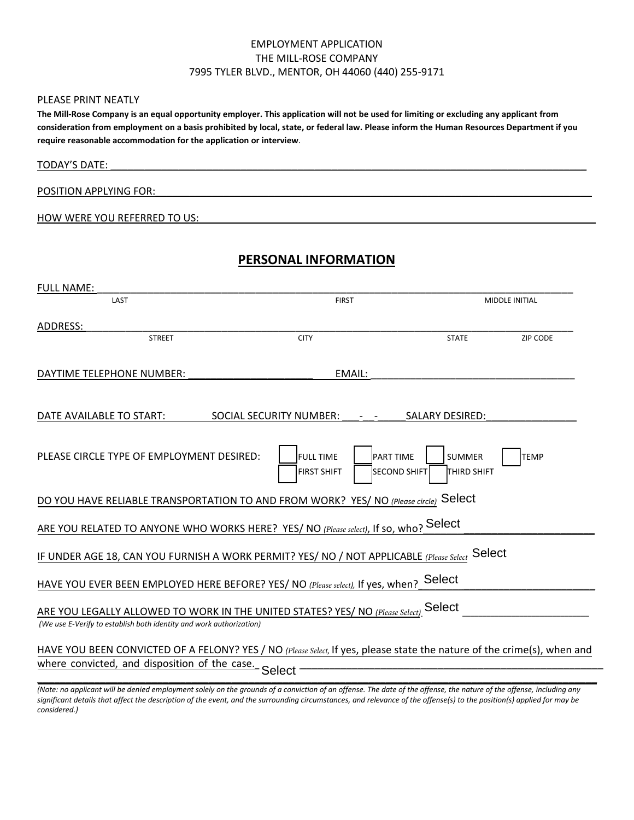#### EMPLOYMENT APPLICATION THE MILL-ROSE COMPANY 7995 TYLER BLVD., MENTOR, OH 44060 (440) 255-9171

#### PLEASE PRINT NEATLY

**The Mill-Rose Company is an equal opportunity employer. This application will not be used for limiting or excluding any applicant from consideration from employment on a basis prohibited by local, state, or federal law. Please inform the Human Resources Department if you require reasonable accommodation for the application or interview**.

| <b>TODAY'S DATE:</b> |  |  |  |
|----------------------|--|--|--|
|                      |  |  |  |

#### POSITION APPLYING FOR:

HOW WERE YOU REFERRED TO US:

## **PERSONAL INFORMATION**

| <b>FULL NAME:</b>                                                                                                                                                               |                                                                                                                           |                                     |                       |  |
|---------------------------------------------------------------------------------------------------------------------------------------------------------------------------------|---------------------------------------------------------------------------------------------------------------------------|-------------------------------------|-----------------------|--|
| LAST                                                                                                                                                                            | <b>FIRST</b>                                                                                                              |                                     | <b>MIDDLE INITIAL</b> |  |
| ADDRESS:                                                                                                                                                                        |                                                                                                                           |                                     |                       |  |
| <b>STREET</b>                                                                                                                                                                   | <b>CITY</b>                                                                                                               | <b>STATE</b>                        | ZIP CODE              |  |
| DAYTIME TELEPHONE NUMBER:                                                                                                                                                       | EMAIL:                                                                                                                    |                                     |                       |  |
|                                                                                                                                                                                 |                                                                                                                           |                                     |                       |  |
| DATE AVAILABLE TO START:                                                                                                                                                        | SOCIAL SECURITY NUMBER:<br>$\frac{1}{2} \left( \frac{1}{2} \right) \left( \frac{1}{2} \right) \left( \frac{1}{2} \right)$ | <b>SALARY DESIRED:</b>              |                       |  |
| PLEASE CIRCLE TYPE OF EMPLOYMENT DESIRED:                                                                                                                                       | <b>FULL TIME</b><br><b>PART TIME</b><br><b>SECOND SHIFT</b><br><b>FIRST SHIFT</b>                                         | <b>SUMMER</b><br><b>THIRD SHIFT</b> | <b>TEMP</b>           |  |
| DO YOU HAVE RELIABLE TRANSPORTATION TO AND FROM WORK? YES/ NO (Please circle) Select                                                                                            |                                                                                                                           |                                     |                       |  |
| ARE YOU RELATED TO ANYONE WHO WORKS HERE? YES/ NO (Please select), If so, who? Select                                                                                           |                                                                                                                           |                                     |                       |  |
| <u>IF UNDER AGE 18, CAN YOU FURNISH A WORK PERMIT? YES/ NO /</u> NOT APPLICABLE (Please Select Select                                                                           |                                                                                                                           |                                     |                       |  |
| HAVE YOU EVER BEEN EMPLOYED HERE BEFORE? YES/ NO (Please select), If yes, when? Select                                                                                          |                                                                                                                           |                                     |                       |  |
| ARE YOU LEGALLY ALLOWED TO WORK IN THE UNITED STATES? YES/ NO (Please Select). Select<br>(We use E-Verify to establish both identity and work authorization)                    |                                                                                                                           |                                     |                       |  |
| HAVE YOU BEEN CONVICTED OF A FELONY? YES / NO (Please Select, If yes, please state the nature of the crime(s), when and<br>where convicted, and disposition of the case. Select |                                                                                                                           |                                     |                       |  |

*(Note: no applicant will be denied employment solely on the grounds of a conviction of an offense. The date of the offense, the nature of the offense, including any significant details that affect the description of the event, and the surrounding circumstances, and relevance of the offense(s) to the position(s) applied for may be considered.)*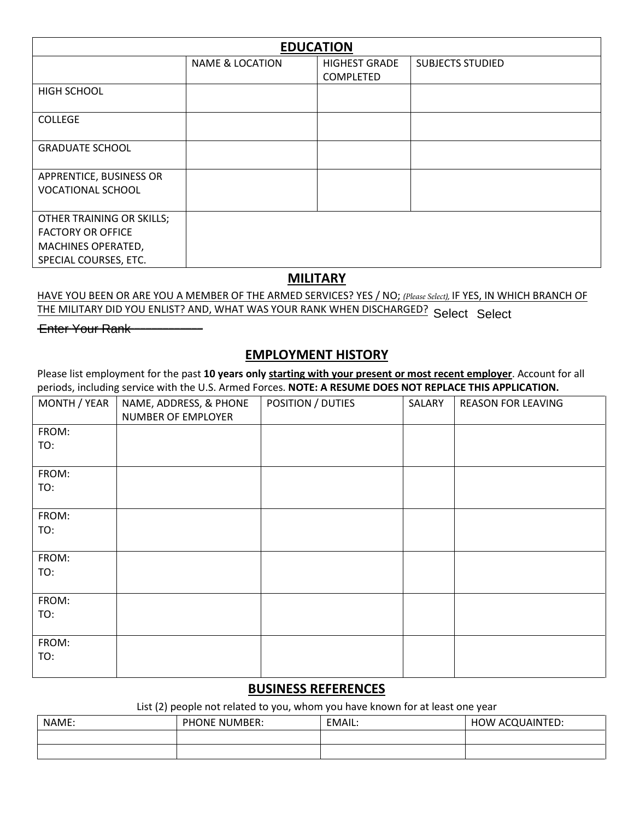| <b>EDUCATION</b>          |                            |                      |                         |  |
|---------------------------|----------------------------|----------------------|-------------------------|--|
|                           | <b>NAME &amp; LOCATION</b> | <b>HIGHEST GRADE</b> | <b>SUBJECTS STUDIED</b> |  |
|                           |                            | COMPLETED            |                         |  |
| HIGH SCHOOL               |                            |                      |                         |  |
|                           |                            |                      |                         |  |
| <b>COLLEGE</b>            |                            |                      |                         |  |
| <b>GRADUATE SCHOOL</b>    |                            |                      |                         |  |
|                           |                            |                      |                         |  |
| APPRENTICE, BUSINESS OR   |                            |                      |                         |  |
| <b>VOCATIONAL SCHOOL</b>  |                            |                      |                         |  |
|                           |                            |                      |                         |  |
| OTHER TRAINING OR SKILLS; |                            |                      |                         |  |
| <b>FACTORY OR OFFICE</b>  |                            |                      |                         |  |
| MACHINES OPERATED,        |                            |                      |                         |  |
| SPECIAL COURSES, ETC.     |                            |                      |                         |  |

### **MILITARY**

HAVE YOU BEEN OR ARE YOU A MEMBER OF THE ARMED SERVICES? YES / NO; *(Please Select),* IF YES, IN WHICH BRANCH OF THE MILITARY DID YOU ENLIST? AND, WHAT WAS YOUR RANK WHEN DISCHARGED? Select Select

Enter Your Rank – – – – – – –

#### **EMPLOYMENT HISTORY**

Please list employment for the past **10 years only starting with your present or most recent employer**. Account for all periods, including service with the U.S. Armed Forces. **NOTE: A RESUME DOES NOT REPLACE THIS APPLICATION.**

| MONTH / YEAR | NAME, ADDRESS, & PHONE<br>NUMBER OF EMPLOYER | POSITION / DUTIES | SALARY | <b>REASON FOR LEAVING</b> |
|--------------|----------------------------------------------|-------------------|--------|---------------------------|
| FROM:        |                                              |                   |        |                           |
| TO:          |                                              |                   |        |                           |
| FROM:        |                                              |                   |        |                           |
| TO:          |                                              |                   |        |                           |
| FROM:        |                                              |                   |        |                           |
| TO:          |                                              |                   |        |                           |
| FROM:        |                                              |                   |        |                           |
| TO:          |                                              |                   |        |                           |
| FROM:        |                                              |                   |        |                           |
| TO:          |                                              |                   |        |                           |
| FROM:        |                                              |                   |        |                           |
| TO:          |                                              |                   |        |                           |

### **BUSINESS REFERENCES**

List (2) people not related to you, whom you have known for at least one year

| NAME: | <b>PHONE NUMBER:</b> | EMAIL: | HOW ACQUAINTED: |
|-------|----------------------|--------|-----------------|
|       |                      |        |                 |
|       |                      |        |                 |